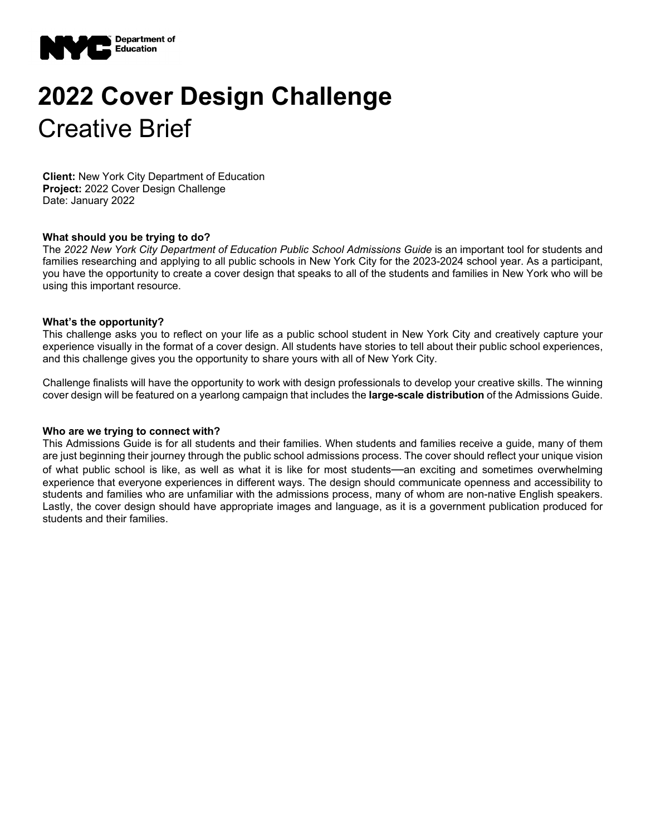

# **2022 Cover Design Challenge**  Creative Brief

**Client:** New York City Department of Education **Project:** 2022 Cover Design Challenge Date: January 2022

## **What should you be trying to do?**

The 2022 New York City Department of Education Public School Admissions Guide is an important tool for students and families researching and applying to all public schools in New York City for the 2023-2024 school year. As a participant, you have the opportunity to create a cover design that speaks to all of the students and families in New York who will be using this important resource.

#### **What's the opportunity?**

This challenge asks you to reflect on your life as a public school student in New York City and creatively capture your experience visually in the format of a cover design. All students have stories to tell about their public school experiences, and this challenge gives you the opportunity to share yours with all of New York City.

Challenge finalists will have the opportunity to work with design professionals to develop your creative skills. The winning cover design will be featured on a yearlong campaign that includes the **large-scale distribution** of the Admissions Guide.

#### **Who are we trying to connect with?**

This Admissions Guide is for all students and their families. When students and families receive a guide, many of them are just beginning their journey through the public school admissions process. The cover should reflect your unique vision of what public school is like, as well as what it is like for most students—an exciting and sometimes overwhelming experience that everyone experiences in different ways. The design should communicate openness and accessibility to students and families who are unfamiliar with the admissions process, many of whom are non-native English speakers. Lastly, the cover design should have appropriate images and language, as it is a government publication produced for students and their families.